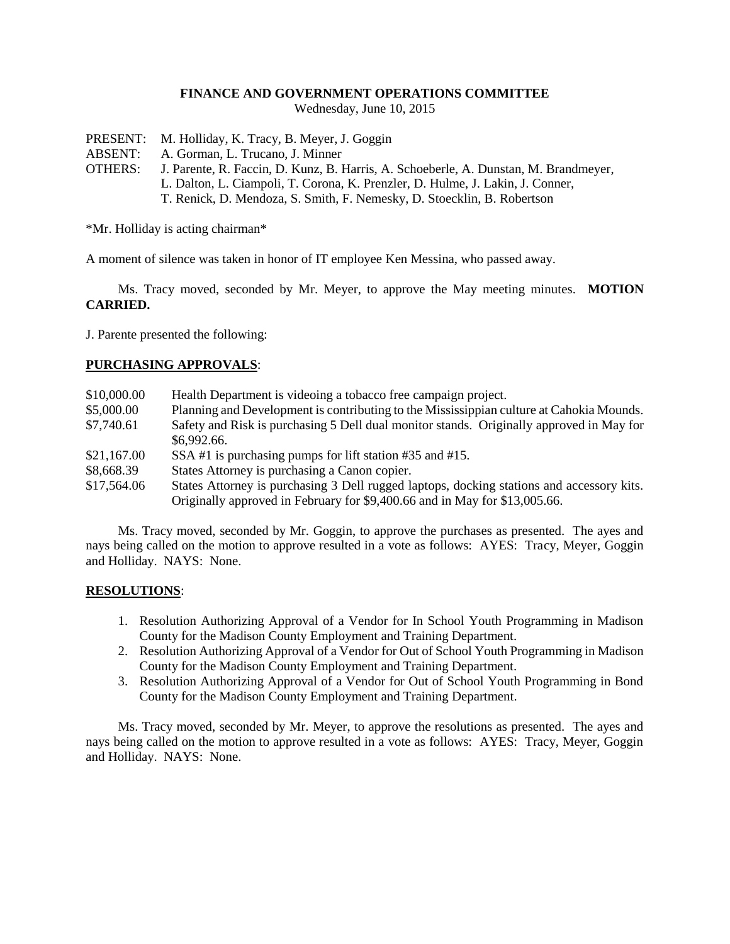### **FINANCE AND GOVERNMENT OPERATIONS COMMITTEE**

Wednesday, June 10, 2015

- PRESENT: M. Holliday, K. Tracy, B. Meyer, J. Goggin
- ABSENT: A. Gorman, L. Trucano, J. Minner
- OTHERS: J. Parente, R. Faccin, D. Kunz, B. Harris, A. Schoeberle, A. Dunstan, M. Brandmeyer, L. Dalton, L. Ciampoli, T. Corona, K. Prenzler, D. Hulme, J. Lakin, J. Conner, T. Renick, D. Mendoza, S. Smith, F. Nemesky, D. Stoecklin, B. Robertson

\*Mr. Holliday is acting chairman\*

A moment of silence was taken in honor of IT employee Ken Messina, who passed away.

Ms. Tracy moved, seconded by Mr. Meyer, to approve the May meeting minutes. **MOTION CARRIED.**

J. Parente presented the following:

# **PURCHASING APPROVALS**:

| \$10,000.00 | Health Department is videoing a tobacco free campaign project.                            |
|-------------|-------------------------------------------------------------------------------------------|
| \$5,000.00  | Planning and Development is contributing to the Mississippian culture at Cahokia Mounds.  |
| \$7,740.61  | Safety and Risk is purchasing 5 Dell dual monitor stands. Originally approved in May for  |
|             | \$6,992.66.                                                                               |
| \$21,167.00 | SSA#1 is purchasing pumps for lift station #35 and #15.                                   |
| \$8,668.39  | States Attorney is purchasing a Canon copier.                                             |
| \$17,564.06 | States Attorney is purchasing 3 Dell rugged laptops, docking stations and accessory kits. |
|             | Originally approved in February for \$9,400.66 and in May for \$13,005.66.                |

Ms. Tracy moved, seconded by Mr. Goggin, to approve the purchases as presented. The ayes and nays being called on the motion to approve resulted in a vote as follows: AYES: Tracy, Meyer, Goggin and Holliday. NAYS: None.

#### **RESOLUTIONS**:

- 1. Resolution Authorizing Approval of a Vendor for In School Youth Programming in Madison County for the Madison County Employment and Training Department.
- 2. Resolution Authorizing Approval of a Vendor for Out of School Youth Programming in Madison County for the Madison County Employment and Training Department.
- 3. Resolution Authorizing Approval of a Vendor for Out of School Youth Programming in Bond County for the Madison County Employment and Training Department.

Ms. Tracy moved, seconded by Mr. Meyer, to approve the resolutions as presented. The ayes and nays being called on the motion to approve resulted in a vote as follows: AYES: Tracy, Meyer, Goggin and Holliday. NAYS: None.